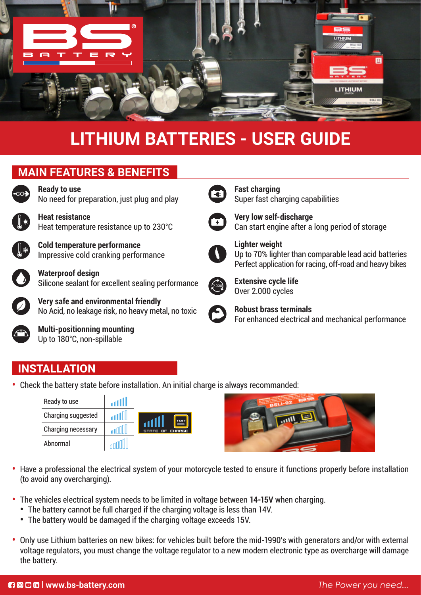

# **LITHIUM BATTERIES - USER GUIDE**

## **MAIN FEATURES & BENEFITS**



**Ready to use** No need for preparation, just plug and play

**Heat resistance** Heat temperature resistance up to 230°C

**Cold temperature performance** Impressive cold cranking performance



**Waterproof design** Silicone sealant for excellent sealing performance

**Very safe and environmental friendly** No Acid, no leakage risk, no heavy metal, no toxic



**Multi-positionning mounting** Up to 180°C, non-spillable



**Fast charging** Super fast charging capabilities



**Very low self-discharge** Can start engine after a long period of storage



**Lighter weight** Up to 70% lighter than comparable lead acid batteries Perfect application for racing, off-road and heavy bikes



**Extensive cycle life** Over 2.000 cycles



**Robust brass terminals** For enhanced electrical and mechanical performance

### **INSTALLATION**

**•** Check the battery state before installation. An initial charge is always recommanded:

| Ready to use       | االت |                                   |
|--------------------|------|-----------------------------------|
| Charging suggested | atl  | <b>TEST</b>                       |
| Charging necessary |      | WILL<br>OF CHRRGE<br><b>STRTE</b> |
| Abnormal           |      |                                   |



- **•** Have a professional the electrical system of your motorcycle tested to ensure it functions properly before installation (to avoid any overcharging).
- **•** The vehicles electrical system needs to be limited in voltage between **14-15V** when charging.
	- **•** The battery cannot be full charged if the charging voltage is less than 14V.
	- **•** The battery would be damaged if the charging voltage exceeds 15V.
- **•** Only use Lithium batteries on new bikes: for vehicles built before the mid-1990's with generators and/or with external voltage regulators, you must change the voltage regulator to a new modern electronic type as overcharge will damage the battery.